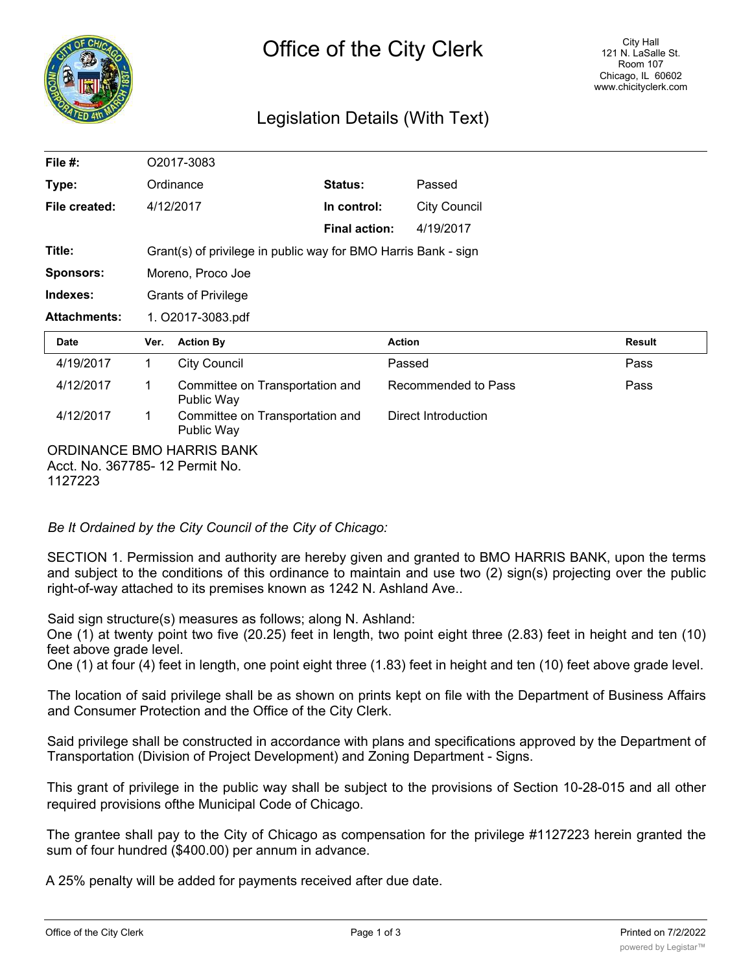

## Legislation Details (With Text)

| File $#$ :                                                   | O2017-3083                                                     |                                               |                      |                     |                     |  |               |
|--------------------------------------------------------------|----------------------------------------------------------------|-----------------------------------------------|----------------------|---------------------|---------------------|--|---------------|
| Type:                                                        |                                                                | Ordinance                                     | Status:              |                     | Passed              |  |               |
| File created:                                                | 4/12/2017                                                      |                                               | In control:          |                     | <b>City Council</b> |  |               |
|                                                              |                                                                |                                               | <b>Final action:</b> |                     | 4/19/2017           |  |               |
| Title:                                                       | Grant(s) of privilege in public way for BMO Harris Bank - sign |                                               |                      |                     |                     |  |               |
| <b>Sponsors:</b>                                             | Moreno, Proco Joe                                              |                                               |                      |                     |                     |  |               |
| Indexes:                                                     | <b>Grants of Privilege</b>                                     |                                               |                      |                     |                     |  |               |
| <b>Attachments:</b>                                          | 1. O2017-3083.pdf                                              |                                               |                      |                     |                     |  |               |
| Date                                                         | Ver.                                                           | <b>Action By</b>                              |                      | <b>Action</b>       |                     |  | <b>Result</b> |
| 4/19/2017                                                    | 1.                                                             | <b>City Council</b>                           | Passed               |                     |                     |  | Pass          |
| 4/12/2017                                                    | 1                                                              | Committee on Transportation and<br>Public Way |                      | Recommended to Pass |                     |  | Pass          |
| 4/12/2017                                                    | 1                                                              | Committee on Transportation and<br>Public Way |                      |                     | Direct Introduction |  |               |
| ORDINANCE BMO HARRIS BANK<br>Acct. No. 367785- 12 Permit No. |                                                                |                                               |                      |                     |                     |  |               |

1127223

*Be It Ordained by the City Council of the City of Chicago:*

SECTION 1. Permission and authority are hereby given and granted to BMO HARRIS BANK, upon the terms and subject to the conditions of this ordinance to maintain and use two (2) sign(s) projecting over the public right-of-way attached to its premises known as 1242 N. Ashland Ave..

Said sign structure(s) measures as follows; along N. Ashland:

One (1) at twenty point two five (20.25) feet in length, two point eight three (2.83) feet in height and ten (10) feet above grade level.

One (1) at four (4) feet in length, one point eight three (1.83) feet in height and ten (10) feet above grade level.

The location of said privilege shall be as shown on prints kept on file with the Department of Business Affairs and Consumer Protection and the Office of the City Clerk.

Said privilege shall be constructed in accordance with plans and specifications approved by the Department of Transportation (Division of Project Development) and Zoning Department - Signs.

This grant of privilege in the public way shall be subject to the provisions of Section 10-28-015 and all other required provisions ofthe Municipal Code of Chicago.

The grantee shall pay to the City of Chicago as compensation for the privilege #1127223 herein granted the sum of four hundred (\$400.00) per annum in advance.

A 25% penalty will be added for payments received after due date.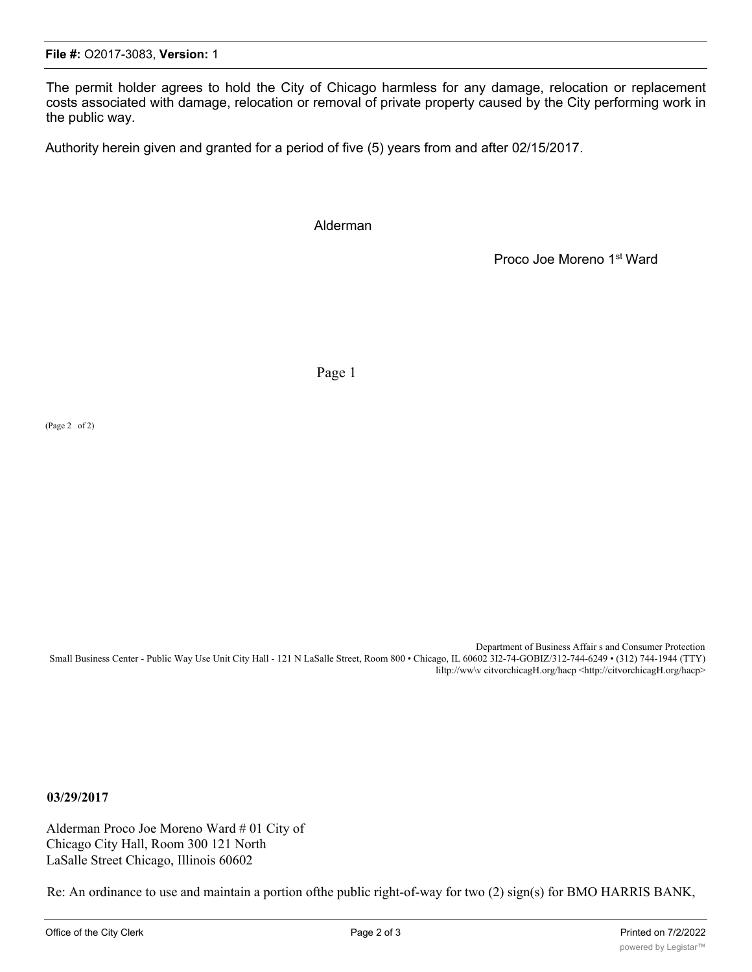The permit holder agrees to hold the City of Chicago harmless for any damage, relocation or replacement costs associated with damage, relocation or removal of private property caused by the City performing work in the public way.

Authority herein given and granted for a period of five (5) years from and after 02/15/2017.

Alderman

Proco Joe Moreno 1st Ward

Page 1

(Page 2 of 2)

Department of Business Affair s and Consumer Protection Small Business Center - Public Way Use Unit City Hall - 121 N LaSalle Street, Room 800 • Chicago, IL 60602 3I2-74-GOBIZ/312-744-6249 • (312) 744-1944 (TTY) liltp://ww\v citvorchicagH.org/hacp <http://citvorchicagH.org/hacp>

**03/29/2017**

Alderman Proco Joe Moreno Ward # 01 City of Chicago City Hall, Room 300 121 North LaSalle Street Chicago, Illinois 60602

Re: An ordinance to use and maintain a portion ofthe public right-of-way for two (2) sign(s) for BMO HARRIS BANK,